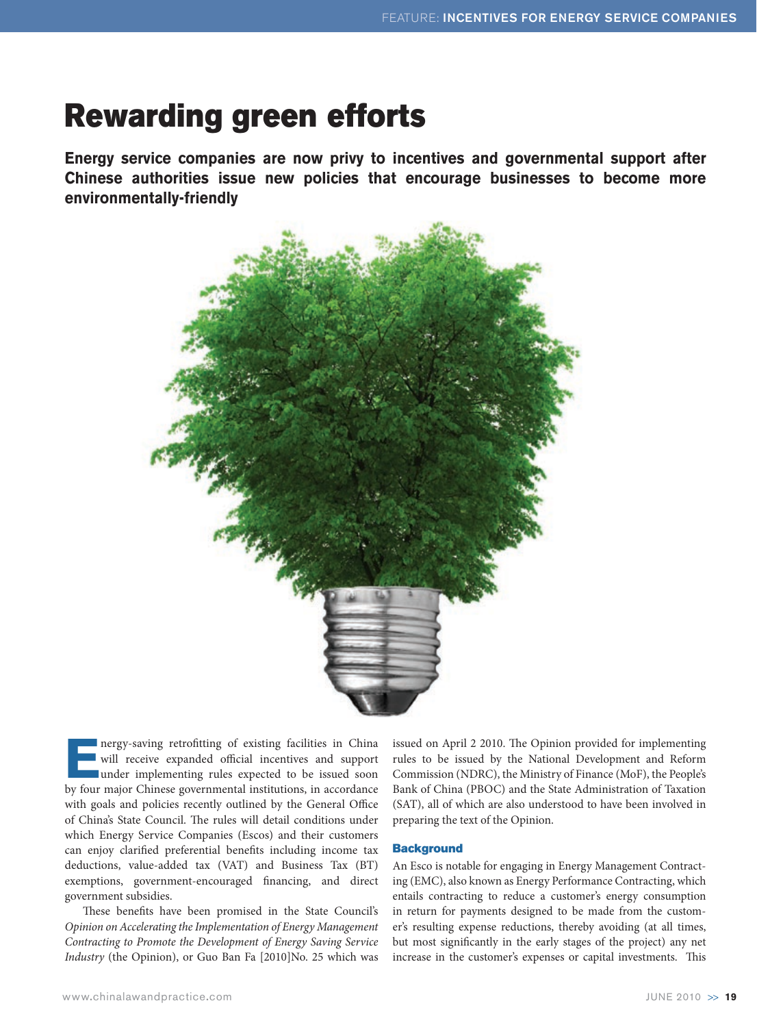# Rewarding green efforts

**Energy service companies are now privy to incentives and governmental support after Chinese authorities issue new policies that encourage businesses to become more environmentally-friendly**



**ENERGY-SAVIDE PROPERTY AND THE PROPERTY OF CHINA WILL THE PROPERTY UNIVERSITY OF CHINA PROPERTY AND THE PROPERTY OF CHINA PROPERTY AND THE PROPERTY OF CHINA PROPERTY AND THE PROPERTY OF CHINA PROPERTY AND THE PROPERTY OF** will receive expanded official incentives and support under implementing rules expected to be issued soon by four major Chinese governmental institutions, in accordance with goals and policies recently outlined by the General Office of China's State Council. The rules will detail conditions under which Energy Service Companies (Escos) and their customers can enjoy clarified preferential benefits including income tax deductions, value-added tax (VAT) and Business Tax (BT) exemptions, government-encouraged financing, and direct government subsidies.

These benefits have been promised in the State Council's *Opinion on Accelerating the Implementation of Energy Management Contracting to Promote the Development of Energy Saving Service Industry* (the Opinion), or Guo Ban Fa [2010]No. 25 which was

issued on April 2 2010. The Opinion provided for implementing rules to be issued by the National Development and Reform Commission (NDRC), the Ministry of Finance (MoF), the People's Bank of China (PBOC) and the State Administration of Taxation (SAT), all of which are also understood to have been involved in preparing the text of the Opinion.

#### **Background**

An Esco is notable for engaging in Energy Management Contracting (EMC), also known as Energy Performance Contracting, which entails contracting to reduce a customer's energy consumption in return for payments designed to be made from the customer's resulting expense reductions, thereby avoiding (at all times, but most significantly in the early stages of the project) any net increase in the customer's expenses or capital investments. This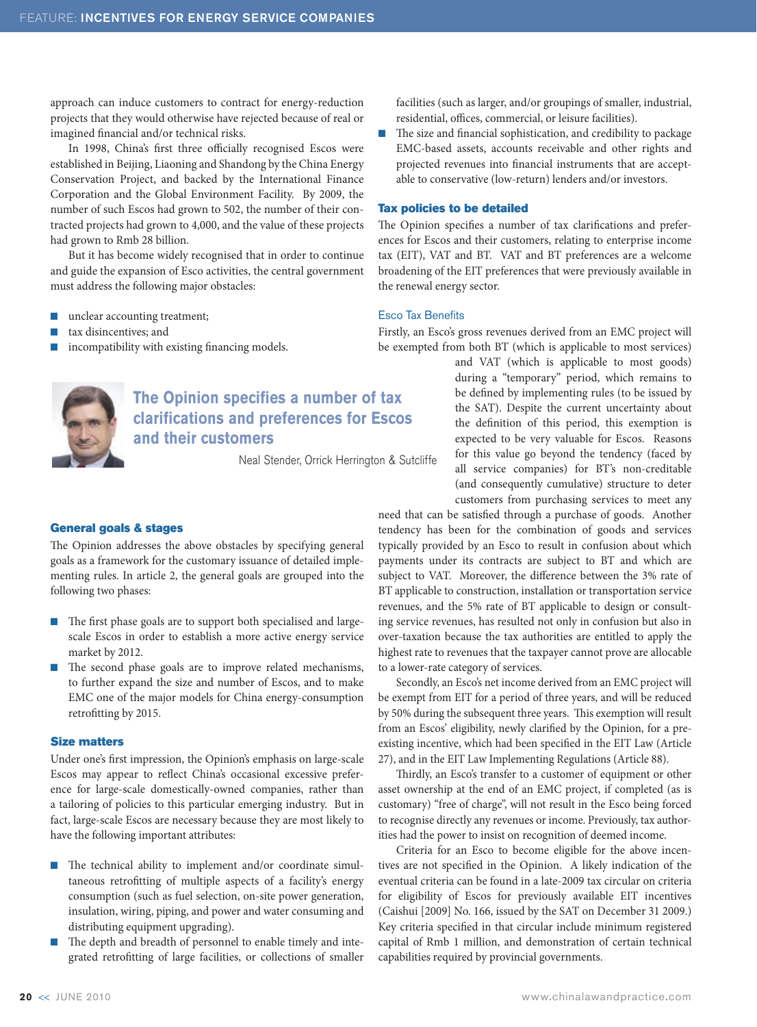approach can induce customers to contract for energy-reduction projects that they would otherwise have rejected because of real or imagined financial and/or technical risks.

In 1998, China's first three officially recognised Escos were established in Beijing, Liaoning and Shandong by the China Energy Conservation Project, and backed by the International Finance Corporation and the Global Environment Facility. By 2009, the number of such Escos had grown to 502, the number of their contracted projects had grown to 4,000, and the value of these projects had grown to Rmb 28 billion.

But it has become widely recognised that in order to continue and guide the expansion of Esco activities, the central government must address the following major obstacles:

- $\blacksquare$  unclear accounting treatment;
- tax disincentives; and
- $\blacksquare$  incompatibility with existing financing models.



## **The Opinion specifies a number of tax clarifications and preferences for Escos and their customers**

Neal Stender, Orrick Herrington & Sutcliffe

#### General goals & stages

The Opinion addresses the above obstacles by specifying general goals as a framework for the customary issuance of detailed implementing rules. In article 2, the general goals are grouped into the following two phases:

- n The first phase goals are to support both specialised and largescale Escos in order to establish a more active energy service market by 2012.
- n The second phase goals are to improve related mechanisms, to further expand the size and number of Escos, and to make EMC one of the major models for China energy-consumption retrofitting by 2015.

#### Size matters

Under one's first impression, the Opinion's emphasis on large-scale Escos may appear to reflect China's occasional excessive preference for large-scale domestically-owned companies, rather than a tailoring of policies to this particular emerging industry. But in fact, large-scale Escos are necessary because they are most likely to have the following important attributes:

- $\blacksquare$  The technical ability to implement and/or coordinate simultaneous retrofitting of multiple aspects of a facility's energy consumption (such as fuel selection, on-site power generation, insulation, wiring, piping, and power and water consuming and distributing equipment upgrading).
- The depth and breadth of personnel to enable timely and integrated retrofitting of large facilities, or collections of smaller

facilities (such as larger, and/or groupings of smaller, industrial, residential, offices, commercial, or leisure facilities).

The size and financial sophistication, and credibility to package EMC-based assets, accounts receivable and other rights and projected revenues into financial instruments that are acceptable to conservative (low-return) lenders and/or investors.

#### Tax policies to be detailed

The Opinion specifies a number of tax clarifications and preferences for Escos and their customers, relating to enterprise income tax (EIT), VAT and BT. VAT and BT preferences are a welcome broadening of the EIT preferences that were previously available in the renewal energy sector.

#### Esco Tax Benefits

Firstly, an Esco's gross revenues derived from an EMC project will be exempted from both BT (which is applicable to most services)

and VAT (which is applicable to most goods) during a "temporary" period, which remains to be defined by implementing rules (to be issued by the SAT). Despite the current uncertainty about the definition of this period, this exemption is expected to be very valuable for Escos. Reasons for this value go beyond the tendency (faced by all service companies) for BT's non-creditable (and consequently cumulative) structure to deter customers from purchasing services to meet any

need that can be satisfied through a purchase of goods. Another tendency has been for the combination of goods and services typically provided by an Esco to result in confusion about which payments under its contracts are subject to BT and which are subject to VAT. Moreover, the difference between the 3% rate of BT applicable to construction, installation or transportation service revenues, and the 5% rate of BT applicable to design or consulting service revenues, has resulted not only in confusion but also in over-taxation because the tax authorities are entitled to apply the highest rate to revenues that the taxpayer cannot prove are allocable to a lower-rate category of services.

Secondly, an Esco's net income derived from an EMC project will be exempt from EIT for a period of three years, and will be reduced by 50% during the subsequent three years. This exemption will result from an Escos' eligibility, newly clarified by the Opinion, for a preexisting incentive, which had been specified in the EIT Law (Article 27), and in the EIT Law Implementing Regulations (Article 88).

Thirdly, an Esco's transfer to a customer of equipment or other asset ownership at the end of an EMC project, if completed (as is customary) "free of charge", will not result in the Esco being forced to recognise directly any revenues or income. Previously, tax authorities had the power to insist on recognition of deemed income.

Criteria for an Esco to become eligible for the above incentives are not specified in the Opinion. A likely indication of the eventual criteria can be found in a late-2009 tax circular on criteria for eligibility of Escos for previously available EIT incentives (Caishui [2009] No. 166, issued by the SAT on December 31 2009.) Key criteria specified in that circular include minimum registered capital of Rmb 1 million, and demonstration of certain technical capabilities required by provincial governments.